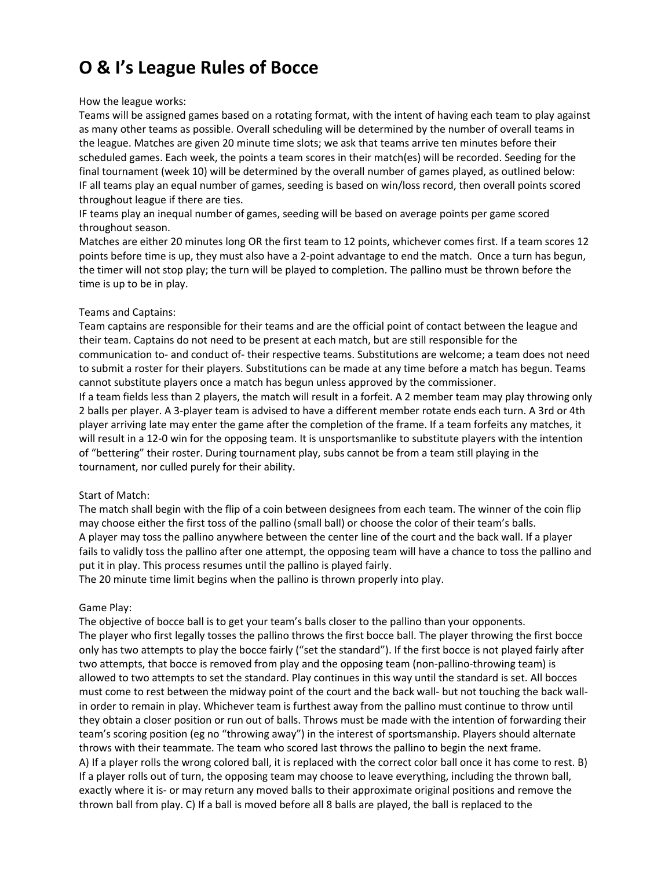# **O & I's League Rules of Bocce**

#### How the league works:

Teams will be assigned games based on a rotating format, with the intent of having each team to play against as many other teams as possible. Overall scheduling will be determined by the number of overall teams in the league. Matches are given 20 minute time slots; we ask that teams arrive ten minutes before their scheduled games. Each week, the points a team scores in their match(es) will be recorded. Seeding for the final tournament (week 10) will be determined by the overall number of games played, as outlined below: IF all teams play an equal number of games, seeding is based on win/loss record, then overall points scored throughout league if there are ties.

IF teams play an inequal number of games, seeding will be based on average points per game scored throughout season.

Matches are either 20 minutes long OR the first team to 12 points, whichever comes first. If a team scores 12 points before time is up, they must also have a 2-point advantage to end the match. Once a turn has begun, the timer will not stop play; the turn will be played to completion. The pallino must be thrown before the time is up to be in play.

#### Teams and Captains:

Team captains are responsible for their teams and are the official point of contact between the league and their team. Captains do not need to be present at each match, but are still responsible for the communication to- and conduct of- their respective teams. Substitutions are welcome; a team does not need to submit a roster for their players. Substitutions can be made at any time before a match has begun. Teams cannot substitute players once a match has begun unless approved by the commissioner.

If a team fields less than 2 players, the match will result in a forfeit. A 2 member team may play throwing only 2 balls per player. A 3-player team is advised to have a different member rotate ends each turn. A 3rd or 4th player arriving late may enter the game after the completion of the frame. If a team forfeits any matches, it will result in a 12-0 win for the opposing team. It is unsportsmanlike to substitute players with the intention of "bettering" their roster. During tournament play, subs cannot be from a team still playing in the tournament, nor culled purely for their ability.

# Start of Match:

The match shall begin with the flip of a coin between designees from each team. The winner of the coin flip may choose either the first toss of the pallino (small ball) or choose the color of their team's balls. A player may toss the pallino anywhere between the center line of the court and the back wall. If a player fails to validly toss the pallino after one attempt, the opposing team will have a chance to toss the pallino and put it in play. This process resumes until the pallino is played fairly.

The 20 minute time limit begins when the pallino is thrown properly into play.

# Game Play:

The objective of bocce ball is to get your team's balls closer to the pallino than your opponents. The player who first legally tosses the pallino throws the first bocce ball. The player throwing the first bocce only has two attempts to play the bocce fairly ("set the standard"). If the first bocce is not played fairly after two attempts, that bocce is removed from play and the opposing team (non-pallino-throwing team) is allowed to two attempts to set the standard. Play continues in this way until the standard is set. All bocces must come to rest between the midway point of the court and the back wall- but not touching the back wallin order to remain in play. Whichever team is furthest away from the pallino must continue to throw until they obtain a closer position or run out of balls. Throws must be made with the intention of forwarding their team's scoring position (eg no "throwing away") in the interest of sportsmanship. Players should alternate throws with their teammate. The team who scored last throws the pallino to begin the next frame. A) If a player rolls the wrong colored ball, it is replaced with the correct color ball once it has come to rest. B) If a player rolls out of turn, the opposing team may choose to leave everything, including the thrown ball, exactly where it is- or may return any moved balls to their approximate original positions and remove the thrown ball from play. C) If a ball is moved before all 8 balls are played, the ball is replaced to the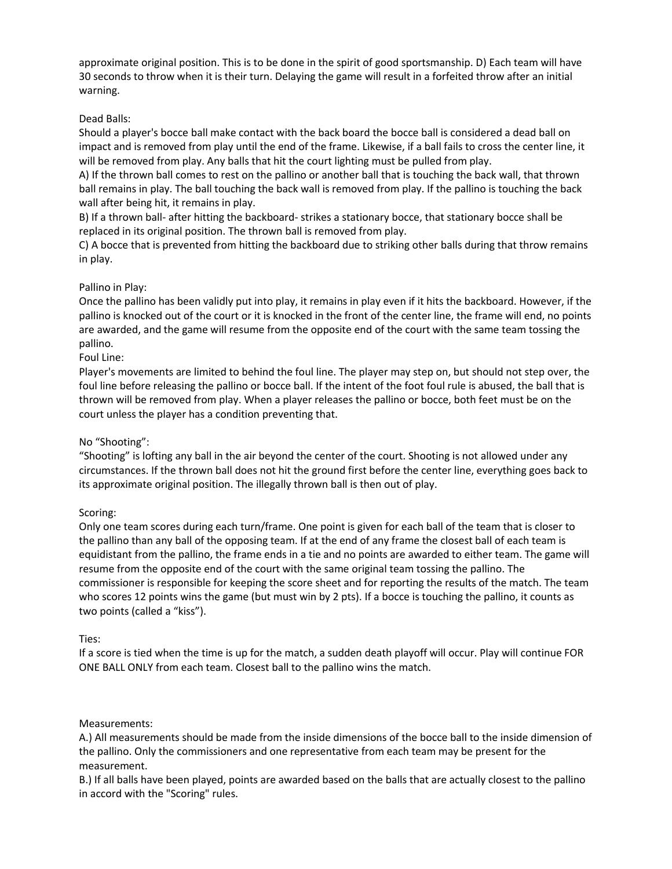approximate original position. This is to be done in the spirit of good sportsmanship. D) Each team will have 30 seconds to throw when it is their turn. Delaying the game will result in a forfeited throw after an initial warning.

# Dead Balls:

Should a player's bocce ball make contact with the back board the bocce ball is considered a dead ball on impact and is removed from play until the end of the frame. Likewise, if a ball fails to cross the center line, it will be removed from play. Any balls that hit the court lighting must be pulled from play.

A) If the thrown ball comes to rest on the pallino or another ball that is touching the back wall, that thrown ball remains in play. The ball touching the back wall is removed from play. If the pallino is touching the back wall after being hit, it remains in play.

B) If a thrown ball- after hitting the backboard- strikes a stationary bocce, that stationary bocce shall be replaced in its original position. The thrown ball is removed from play.

C) A bocce that is prevented from hitting the backboard due to striking other balls during that throw remains in play.

# Pallino in Play:

Once the pallino has been validly put into play, it remains in play even if it hits the backboard. However, if the pallino is knocked out of the court or it is knocked in the front of the center line, the frame will end, no points are awarded, and the game will resume from the opposite end of the court with the same team tossing the pallino.

#### Foul Line:

Player's movements are limited to behind the foul line. The player may step on, but should not step over, the foul line before releasing the pallino or bocce ball. If the intent of the foot foul rule is abused, the ball that is thrown will be removed from play. When a player releases the pallino or bocce, both feet must be on the court unless the player has a condition preventing that.

# No "Shooting":

"Shooting" is lofting any ball in the air beyond the center of the court. Shooting is not allowed under any circumstances. If the thrown ball does not hit the ground first before the center line, everything goes back to its approximate original position. The illegally thrown ball is then out of play.

# Scoring:

Only one team scores during each turn/frame. One point is given for each ball of the team that is closer to the pallino than any ball of the opposing team. If at the end of any frame the closest ball of each team is equidistant from the pallino, the frame ends in a tie and no points are awarded to either team. The game will resume from the opposite end of the court with the same original team tossing the pallino. The commissioner is responsible for keeping the score sheet and for reporting the results of the match. The team who scores 12 points wins the game (but must win by 2 pts). If a bocce is touching the pallino, it counts as two points (called a "kiss").

#### Ties:

If a score is tied when the time is up for the match, a sudden death playoff will occur. Play will continue FOR ONE BALL ONLY from each team. Closest ball to the pallino wins the match.

#### Measurements:

A.) All measurements should be made from the inside dimensions of the bocce ball to the inside dimension of the pallino. Only the commissioners and one representative from each team may be present for the measurement.

B.) If all balls have been played, points are awarded based on the balls that are actually closest to the pallino in accord with the "Scoring" rules.